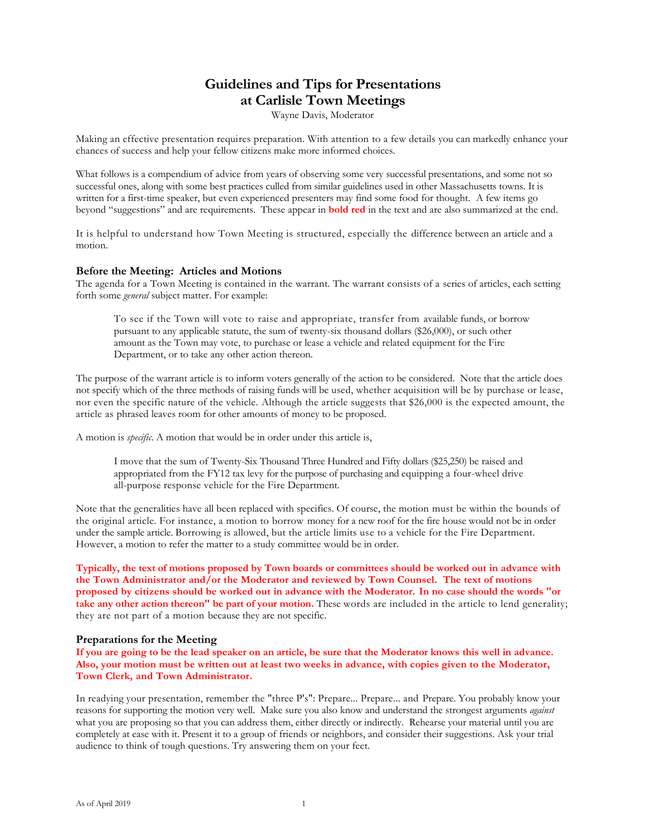### **Guidelines and Tips for Presentations at Carlisle Town Meetings**

Wayne Davis, Moderator

Making an effective presentation requires preparation. With attention to a few details you can markedly enhance your chances of success and help your fellow citizens make more informed choices.

What follows is a compendium of advice from years of observing some very successful presentations, and some not so successful ones, along with some best practices culled from similar guidelines used in other Massachusetts towns. It is written for a first-time speaker, but even experienced presenters may find some food for thought. A few items go beyond "suggestions" and are requirements. These appear in **bold red** in the text and are also summarized at the end.

It is helpful to understand how Town Meeting is structured, especially the difference between an article and a motion.

#### **Before the Meeting: Articles and Motions**

The agenda for a Town Meeting is contained in the warrant. The warrant consists of a series of articles, each setting forth some *general* subject matter. For example:

To see if the Town will vote to raise and appropriate, transfer from available funds, or borrow pursuant to any applicable statute, the sum of twenty-six thousand dollars (\$26,000), or such other amount as the Town may vote, to purchase or lease a vehicle and related equipment for the Fire Department, or to take any other action thereon.

The purpose of the warrant article is to inform voters generally of the action to be considered. Note that the article does not specify which of the three methods of raising funds will be used, whether acquisition will be by purchase or lease, nor even the specific nature of the vehicle. Although the article suggests that \$26,000 is the expected amount, the article as phrased leaves room for other amounts of money to be proposed.

A motion is *specific*. A motion that would be in order under this article is,

I move that the sum of Twenty-Six Thousand Three Hundred and Fifty dollars (\$25,250) be raised and appropriated from the FY12 tax levy for the purpose of purchasing and equipping a four-wheel drive all-purpose response vehicle for the Fire Department.

Note that the generalities have all been replaced with specifics. Of course, the motion must be within the bounds of the original article. For instance, a motion to borrow money for a new roof for the fire house would not be in order under the sample article. Borrowing is allowed, but the article limits use to a vehicle for the Fire Department. However, a motion to refer the matter to a study committee would be in order.

**Typically, the text of motions proposed by Town boards or committees should be worked out in advance with the Town Administrator and/or the Moderator and reviewed by Town Counsel. The text of motions proposed by citizens should be worked out in advance with the Moderator. In no case should the words "or take any other action thereon" be part of your motion.** These words are included in the article to lend generality; they are not part of a motion because they are not specific.

#### **Preparations for the Meeting**

**If you are going to be the lead speaker on an article, be sure that the Moderator knows this well in advance. Also, your motion must be written out at least two weeks in advance, with copies given to the Moderator, Town Clerk, and Town Administrator.**

In readying your presentation, remember the "three P's": Prepare... Prepare... and Prepare. You probably know your reasons for supporting the motion very well. Make sure you also know and understand the strongest arguments *against* what you are proposing so that you can address them, either directly or indirectly. Rehearse your material until you are completely at ease with it. Present it to a group of friends or neighbors, and consider their suggestions. Ask your trial audience to think of tough questions. Try answering them on your feet.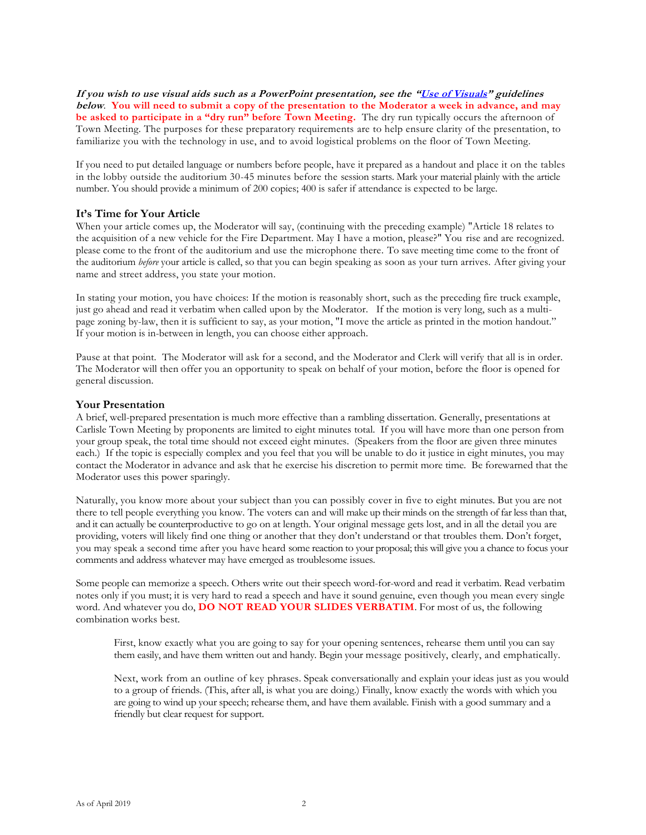**If you wish to use visual aids such as a PowerPoint presentation, see the "[Use of Visuals](#page-2-0)" guidelines below**. **You will need to submit a copy of the presentation to the Moderator a week in advance, and may be asked to participate in a "dry run" before Town Meeting.** The dry run typically occurs the afternoon of Town Meeting. The purposes for these preparatory requirements are to help ensure clarity of the presentation, to familiarize you with the technology in use, and to avoid logistical problems on the floor of Town Meeting.

If you need to put detailed language or numbers before people, have it prepared as a handout and place it on the tables in the lobby outside the auditorium 30-45 minutes before the session starts. Mark your material plainly with the article number. You should provide a minimum of 200 copies; 400 is safer if attendance is expected to be large.

#### **It's Time for Your Article**

When your article comes up, the Moderator will say, (continuing with the preceding example) "Article 18 relates to the acquisition of a new vehicle for the Fire Department. May I have a motion, please?" You rise and are recognized. please come to the front of the auditorium and use the microphone there. To save meeting time come to the front of the auditorium *before* your article is called, so that you can begin speaking as soon as your turn arrives. After giving your name and street address, you state your motion.

In stating your motion, you have choices: If the motion is reasonably short, such as the preceding fire truck example, just go ahead and read it verbatim when called upon by the Moderator. If the motion is very long, such as a multipage zoning by-law, then it is sufficient to say, as your motion, "I move the article as printed in the motion handout." If your motion is in-between in length, you can choose either approach.

Pause at that point. The Moderator will ask for a second, and the Moderator and Clerk will verify that all is in order. The Moderator will then offer you an opportunity to speak on behalf of your motion, before the floor is opened for general discussion.

#### **Your Presentation**

A brief, well-prepared presentation is much more effective than a rambling dissertation. Generally, presentations at Carlisle Town Meeting by proponents are limited to eight minutes total. If you will have more than one person from your group speak, the total time should not exceed eight minutes. (Speakers from the floor are given three minutes each.) If the topic is especially complex and you feel that you will be unable to do it justice in eight minutes, you may contact the Moderator in advance and ask that he exercise his discretion to permit more time. Be forewarned that the Moderator uses this power sparingly.

Naturally, you know more about your subject than you can possibly cover in five to eight minutes. But you are not there to tell people everything you know. The voters can and will make up their minds on the strength of far less than that, and it can actually be counterproductive to go on at length. Your original message gets lost, and in all the detail you are providing, voters will likely find one thing or another that they don't understand or that troubles them. Don't forget, you may speak a second time after you have heard some reaction to your proposal; this will give you a chance to focus your comments and address whatever may have emerged as troublesome issues.

Some people can memorize a speech. Others write out their speech word-for-word and read it verbatim. Read verbatim notes only if you must; it is very hard to read a speech and have it sound genuine, even though you mean every single word. And whatever you do, **DO NOT READ YOUR SLIDES VERBATIM**. For most of us, the following combination works best.

First, know exactly what you are going to say for your opening sentences, rehearse them until you can say them easily, and have them written out and handy. Begin your message positively, clearly, and emphatically.

Next, work from an outline of key phrases. Speak conversationally and explain your ideas just as you would to a group of friends. (This, after all, is what you are doing.) Finally, know exactly the words with which you are going to wind up your speech; rehearse them, and have them available. Finish with a good summary and a friendly but clear request for support.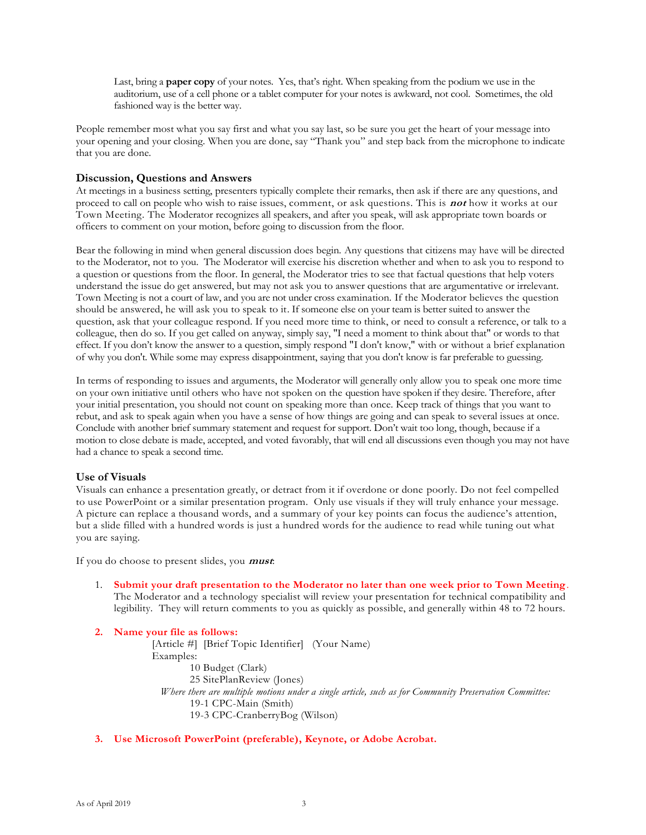Last, bring a **paper copy** of your notes. Yes, that's right. When speaking from the podium we use in the auditorium, use of a cell phone or a tablet computer for your notes is awkward, not cool. Sometimes, the old fashioned way is the better way.

People remember most what you say first and what you say last, so be sure you get the heart of your message into your opening and your closing. When you are done, say "Thank you" and step back from the microphone to indicate that you are done.

#### **Discussion, Questions and Answers**

At meetings in a business setting, presenters typically complete their remarks, then ask if there are any questions, and proceed to call on people who wish to raise issues, comment, or ask questions. This is **not** how it works at our Town Meeting. The Moderator recognizes all speakers, and after you speak, will ask appropriate town boards or officers to comment on your motion, before going to discussion from the floor.

Bear the following in mind when general discussion does begin. Any questions that citizens may have will be directed to the Moderator, not to you. The Moderator will exercise his discretion whether and when to ask you to respond to a question or questions from the floor. In general, the Moderator tries to see that factual questions that help voters understand the issue do get answered, but may not ask you to answer questions that are argumentative or irrelevant. Town Meeting is not a court of law, and you are not under cross examination. If the Moderator believes the question should be answered, he will ask you to speak to it. If someone else on your team is better suited to answer the question, ask that your colleague respond. If you need more time to think, or need to consult a reference, or talk to a colleague, then do so. If you get called on anyway, simply say, "I need a moment to think about that" or words to that effect. If you don't know the answer to a question, simply respond "I don't know," with or without a brief explanation of why you don't. While some may express disappointment, saying that you don't know is far preferable to guessing.

In terms of responding to issues and arguments, the Moderator will generally only allow you to speak one more time on your own initiative until others who have not spoken on the question have spoken if they desire. Therefore, after your initial presentation, you should not count on speaking more than once. Keep track of things that you want to rebut, and ask to speak again when you have a sense of how things are going and can speak to several issues at once. Conclude with another brief summary statement and request for support. Don't wait too long, though, because if a motion to close debate is made, accepted, and voted favorably, that will end all discussions even though you may not have had a chance to speak a second time.

#### <span id="page-2-0"></span>**Use of Visuals**

Visuals can enhance a presentation greatly, or detract from it if overdone or done poorly. Do not feel compelled to use PowerPoint or a similar presentation program. Only use visuals if they will truly enhance your message. A picture can replace a thousand words, and a summary of your key points can focus the audience's attention, but a slide filled with a hundred words is just a hundred words for the audience to read while tuning out what you are saying.

If you do choose to present slides, you **must**:

1. **Submit your draft presentation to the Moderator no later than one week prior to Town Meeting**. The Moderator and a technology specialist will review your presentation for technical compatibility and legibility. They will return comments to you as quickly as possible, and generally within 48 to 72 hours.

**2. Name your file as follows:** [Article #] [Brief Topic Identifier] (Your Name) Examples: 10 Budget (Clark) 25 SitePlanReview (Jones) *Where there are multiple motions under a single article, such as for Community Preservation Committee:* 19-1 CPC-Main (Smith) 19-3 CPC-CranberryBog (Wilson)

**3. Use Microsoft PowerPoint (preferable), Keynote, or Adobe Acrobat.**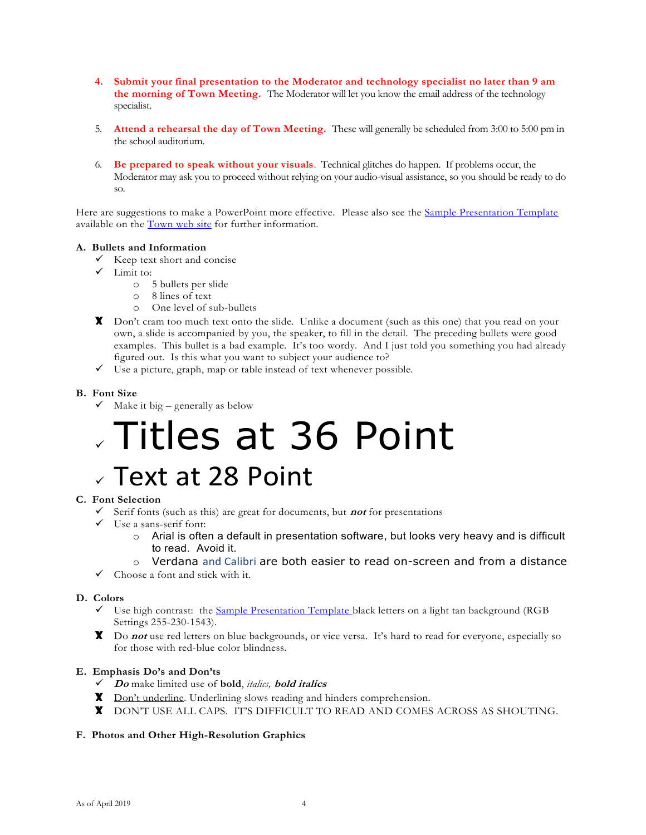- **4. Submit your final presentation to the Moderator and technology specialist no later than 9 am the morning of Town Meeting.** The Moderator will let you know the email address of the technology specialist.
- 5. **Attend a rehearsal the day of Town Meeting.** These will generally be scheduled from 3:00 to 5:00 pm in the school auditorium.
- 6. **Be prepared to speak without your visuals**. Technical glitches do happen. If problems occur, the Moderator may ask you to proceed without relying on your audio-visual assistance, so you should be ready to do so.

Here are suggestions to make a PowerPoint more effective. Please also see the **Sample Presentation Template** available on the [Town web site](http://www.carlislema.gov/262/Procedures-Other-Guidelines) for further information.

#### **A. Bullets and Information**

- $\checkmark$  Keep text short and concise
- ✓ Limit to:
	- o 5 bullets per slide
	- o 8 lines of text
	- o One level of sub-bullets
- X Don't cram too much text onto the slide. Unlike a document (such as this one) that you read on your own, a slide is accompanied by you, the speaker, to fill in the detail. The preceding bullets were good examples. This bullet is a bad example. It's too wordy. And I just told you something you had already figured out. Is this what you want to subject your audience to?
- $\checkmark$  Use a picture, graph, map or table instead of text whenever possible.

#### **B. Font Size**

 $\checkmark$  Make it big – generally as below

# ✓ Titles at 36 Point

## ✓ Text at 28 Point

#### **C. Font Selection**

- $\checkmark$  Serif fonts (such as this) are great for documents, but **not** for presentations
- $\checkmark$  Use a sans-serif font:
	- $\circ$  Arial is often a default in presentation software, but looks very heavy and is difficult to read. Avoid it.

#### o Verdana and Calibri are both easier to read on-screen and from a distance

 $\checkmark$  Choose a font and stick with it.

#### **D. Colors**

- $\checkmark$  Use high contrast: the [Sample Presentation Template](http://www.carlislema.gov/DocumentCenter/View/108) black letters on a light tan background (RGB) Settings 255-230-1543).
- X Do **not** use red letters on blue backgrounds, or vice versa. It's hard to read for everyone, especially so for those with red-blue color blindness.

#### **E. Emphasis Do's and Don'ts**

- ✓ **Do** make limited use of **bold**, *italics,* **bold italics**
- **X** Don't underline. Underlining slows reading and hinders comprehension.
- X DON'T USE ALL CAPS. IT'S DIFFICULT TO READ AND COMES ACROSS AS SHOUTING.

#### **F. Photos and Other High-Resolution Graphics**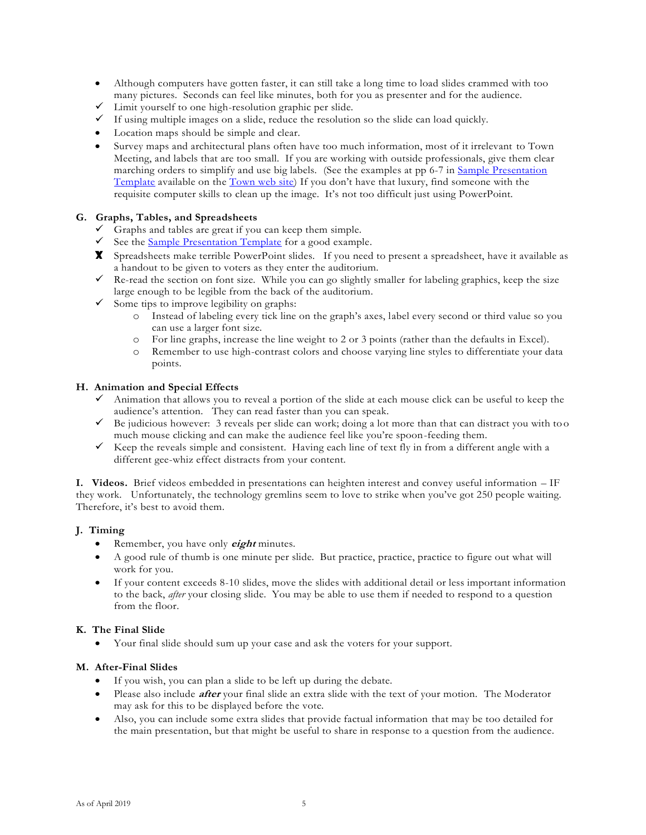- Although computers have gotten faster, it can still take a long time to load slides crammed with too many pictures. Seconds can feel like minutes, both for you as presenter and for the audience.
- ✓ Limit yourself to one high-resolution graphic per slide.
- $\checkmark$  If using multiple images on a slide, reduce the resolution so the slide can load quickly.
- Location maps should be simple and clear.
- Survey maps and architectural plans often have too much information, most of it irrelevant to Town Meeting, and labels that are too small. If you are working with outside professionals, give them clear marching orders to simplify and use big labels. (See the examples at pp 6-7 in [Sample Presentation](http://www.carlislema.gov/DocumentCenter/View/108)  [Template](http://www.carlislema.gov/DocumentCenter/View/108) available on the [Town web site\)](http://www.carlislema.gov/262/Procedures-Other-Guidelines) If you don't have that luxury, find someone with the requisite computer skills to clean up the image. It's not too difficult just using PowerPoint.

#### **G. Graphs, Tables, and Spreadsheets**

- $\checkmark$  Graphs and tables are great if you can keep them simple.
- $\checkmark$  See the [Sample Presentation Template](http://www.carlislema.gov/DocumentCenter/View/108) for a good example.
- X Spreadsheets make terrible PowerPoint slides. If you need to present a spreadsheet, have it available as a handout to be given to voters as they enter the auditorium.
- $\checkmark$  Re-read the section on font size. While you can go slightly smaller for labeling graphics, keep the size large enough to be legible from the back of the auditorium.
- $\checkmark$  Some tips to improve legibility on graphs:
	- o Instead of labeling every tick line on the graph's axes, label every second or third value so you can use a larger font size.
	- o For line graphs, increase the line weight to 2 or 3 points (rather than the defaults in Excel).
	- o Remember to use high-contrast colors and choose varying line styles to differentiate your data points.

#### **H. Animation and Special Effects**

- $\checkmark$  Animation that allows you to reveal a portion of the slide at each mouse click can be useful to keep the audience's attention. They can read faster than you can speak.
- ✓ Be judicious however: 3 reveals per slide can work; doing a lot more than that can distract you with to o much mouse clicking and can make the audience feel like you're spoon-feeding them.
- $\checkmark$  Keep the reveals simple and consistent. Having each line of text fly in from a different angle with a different gee-whiz effect distracts from your content.

**I. Videos.** Brief videos embedded in presentations can heighten interest and convey useful information – IF they work. Unfortunately, the technology gremlins seem to love to strike when you've got 250 people waiting. Therefore, it's best to avoid them.

#### **J. Timing**

- Remember, you have only **eight** minutes.
- A good rule of thumb is one minute per slide. But practice, practice, practice to figure out what will work for you.
- If your content exceeds 8-10 slides, move the slides with additional detail or less important information to the back, *after* your closing slide. You may be able to use them if needed to respond to a question from the floor.

#### **K. The Final Slide**

• Your final slide should sum up your case and ask the voters for your support.

#### **M. After-Final Slides**

- If you wish, you can plan a slide to be left up during the debate.
- Please also include **after** your final slide an extra slide with the text of your motion. The Moderator may ask for this to be displayed before the vote.
- Also, you can include some extra slides that provide factual information that may be too detailed for the main presentation, but that might be useful to share in response to a question from the audience.